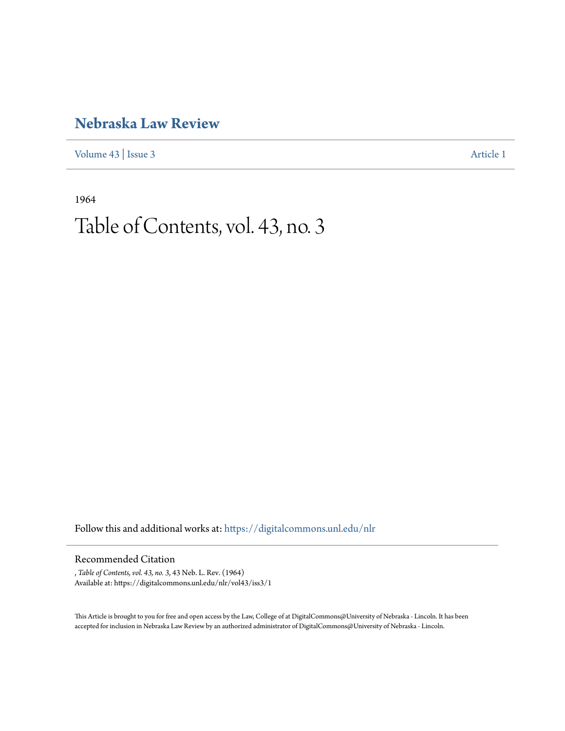## **[Nebraska Law Review](https://digitalcommons.unl.edu/nlr?utm_source=digitalcommons.unl.edu%2Fnlr%2Fvol43%2Fiss3%2F1&utm_medium=PDF&utm_campaign=PDFCoverPages)**

[Volume 43](https://digitalcommons.unl.edu/nlr/vol43?utm_source=digitalcommons.unl.edu%2Fnlr%2Fvol43%2Fiss3%2F1&utm_medium=PDF&utm_campaign=PDFCoverPages) | [Issue 3](https://digitalcommons.unl.edu/nlr/vol43/iss3?utm_source=digitalcommons.unl.edu%2Fnlr%2Fvol43%2Fiss3%2F1&utm_medium=PDF&utm_campaign=PDFCoverPages) [Article 1](https://digitalcommons.unl.edu/nlr/vol43/iss3/1?utm_source=digitalcommons.unl.edu%2Fnlr%2Fvol43%2Fiss3%2F1&utm_medium=PDF&utm_campaign=PDFCoverPages)

1964

# Table of Contents, vol. 43, no. 3

Follow this and additional works at: [https://digitalcommons.unl.edu/nlr](https://digitalcommons.unl.edu/nlr?utm_source=digitalcommons.unl.edu%2Fnlr%2Fvol43%2Fiss3%2F1&utm_medium=PDF&utm_campaign=PDFCoverPages)

#### Recommended Citation

, *Table of Contents, vol. 43, no. 3*, 43 Neb. L. Rev. (1964) Available at: https://digitalcommons.unl.edu/nlr/vol43/iss3/1

This Article is brought to you for free and open access by the Law, College of at DigitalCommons@University of Nebraska - Lincoln. It has been accepted for inclusion in Nebraska Law Review by an authorized administrator of DigitalCommons@University of Nebraska - Lincoln.